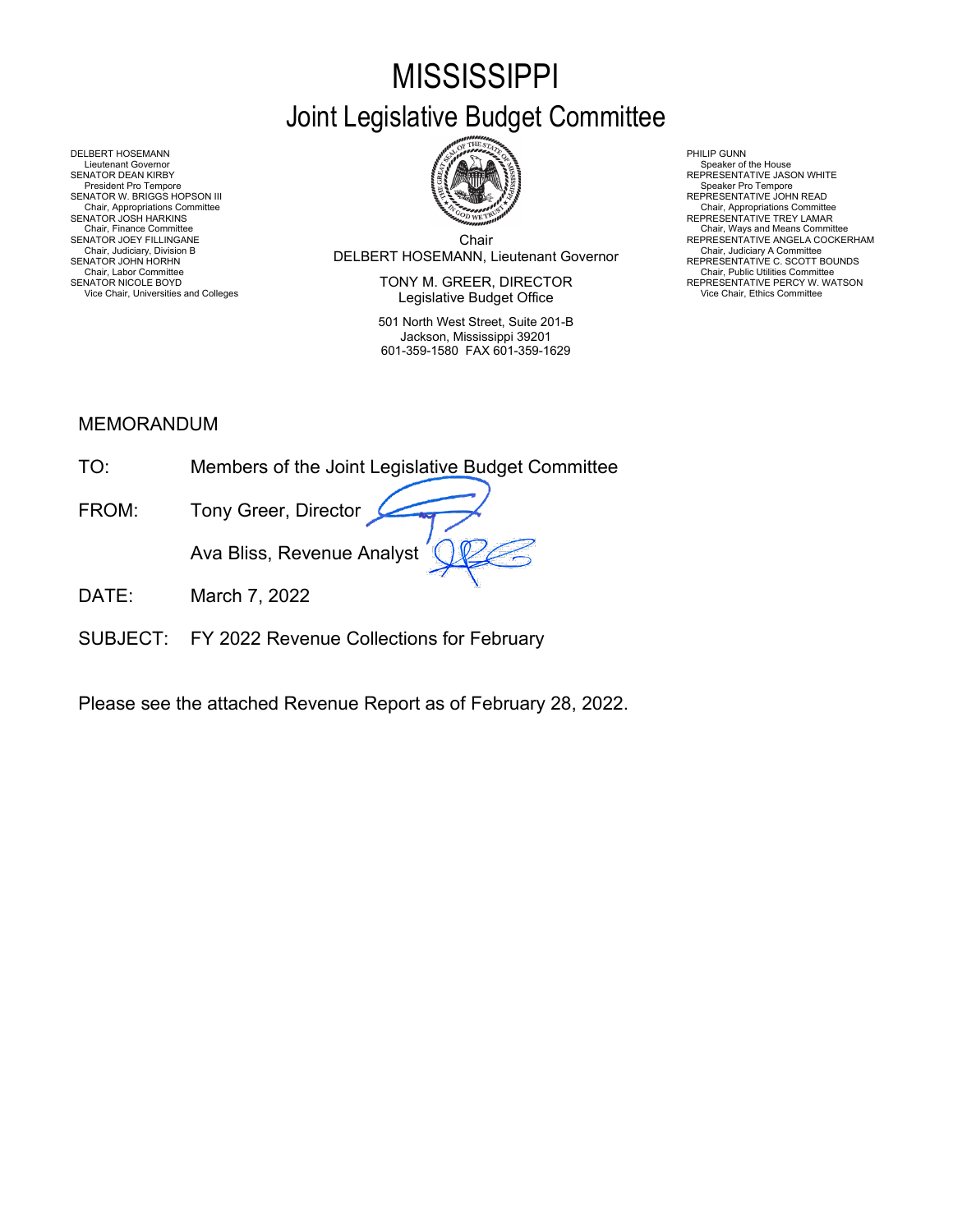# **MISSISSIPPI** Joint Legislative Budget Committee



Chair Chair, Judiciary, Division B<br>SENATOR JOHN HORHN BOUNDS (REPRESENTATIVE C. SCOTT BOUNDS

SENATOR NICOLE BOYD **EXECTOR EXECUTOR SENATOR OF A CONSUMING A CONSUMING PRESENTATIVE PERCY W. WATSON** Vice Chair, Universities and Colleges **Vice Chair, Ethics Committee Legislative Budget Office** Vice Chair, Ethics Committee Vice Chair, Ethics Committee **Legislative Budget Office** 

> 501 North West Street, Suite 201-B Jackson, Mississippi 39201 601-359-1580 FAX 601-359-1629

Chair, Appropriations Committee<br>REPRESENTATIVE TREY LAMAR

Chair, Finance Committee<br>SENATOR JOEY FILLINGANE NEERES AND THE SENATOR OF SERVICE ANGELA COCKERHAM

DELBERT HOSEMANN PHILIP GUNN<br>Lieutenant Governor (Philip Gunn) and the company of the company of the company of the company of the company<br>SENATOR DEAN KIRBY (PHILIP GUNN) AND REPRESENTA Lieutenant Governor (Speaker of the House President Covernor Speaker of the House President Overnor Speaker of the House President Pro Tempore (Speaker of the House President Pro Tempore President Pro Tempore Pro Tempore P SENATOR W. BRIGGS HOPSON III READ AND READ AND READ AND REPRESENTATIVE JOHN READ Chair, Appropriations Committee<br>SENATOR JOSH HARKINS<br>Chair, Finance Committee<br>SENATOR JOEY FILLINGANE Chair, Judiciary Atomities Chair, Judiciary Atomities Chair, Judiciary Atomities Chair, Chair, Chair, Chair, Chair, Chair, Chair, Chair, Chair, Chair, Uniciary Atomities Chair, Labor Committee Chair, Labor Chair, Labor Com

## MEMORANDUM

| TO <sup>.</sup>   | Members of the Joint Legislative Budget Committee |
|-------------------|---------------------------------------------------|
| FROM:             | Tony Greer, Director                              |
|                   | Ava Bliss, Revenue Analyst                        |
| $\overline{DATF}$ | March 7, 2022                                     |

SUBJECT: FY 2022 Revenue Collections for February

Please see the attached Revenue Report as of February 28, 2022.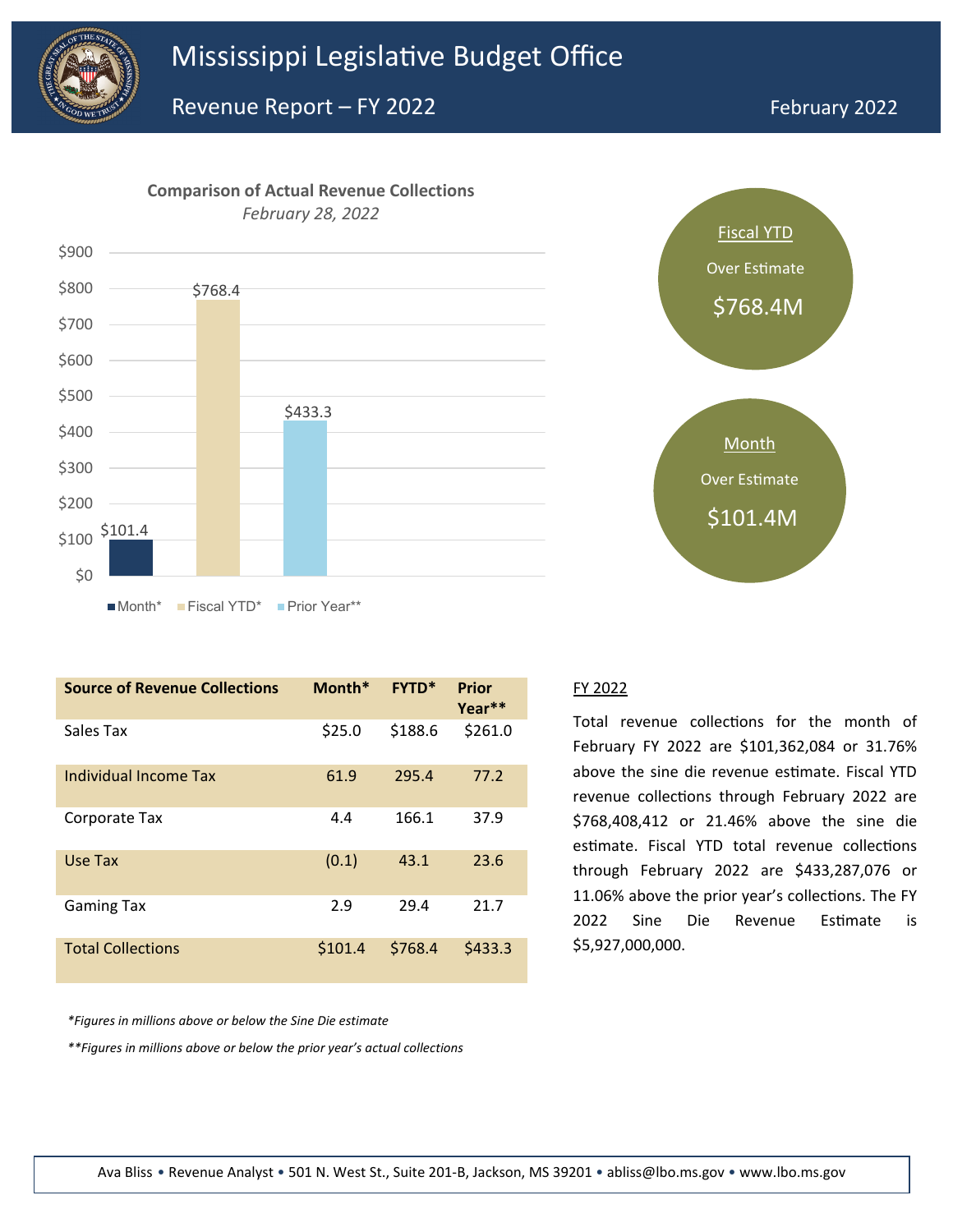



*February 28, 2022*



| <b>Source of Revenue Collections</b> | Month*  | <b>FYTD*</b> | Prior<br>Year** |
|--------------------------------------|---------|--------------|-----------------|
| Sales Tax                            | \$25.0  | \$188.6      | \$261.0         |
| Individual Income Tax                | 61.9    | 295.4        | 77.2            |
| Corporate Tax                        | 4.4     | 166.1        | 37.9            |
| Use Tax                              | (0.1)   | 43.1         | 23.6            |
| <b>Gaming Tax</b>                    | 2.9     | 29.4         | 21.7            |
| <b>Total Collections</b>             | \$101.4 | \$768.4      | \$433.3         |



#### FY 2022

Total revenue collections for the month of February FY 2022 are \$101,362,084 or 31.76% above the sine die revenue estimate. Fiscal YTD revenue collections through February 2022 are \$768,408,412 or 21.46% above the sine die estimate. Fiscal YTD total revenue collections through February 2022 are \$433,287,076 or 11.06% above the prior year's collections. The FY 2022 Sine Die Revenue Estimate is \$5,927,000,000.

*\*Figures in millions above or below the Sine Die estimate*

*\*\*Figures in millions above or below the prior year's actual collections*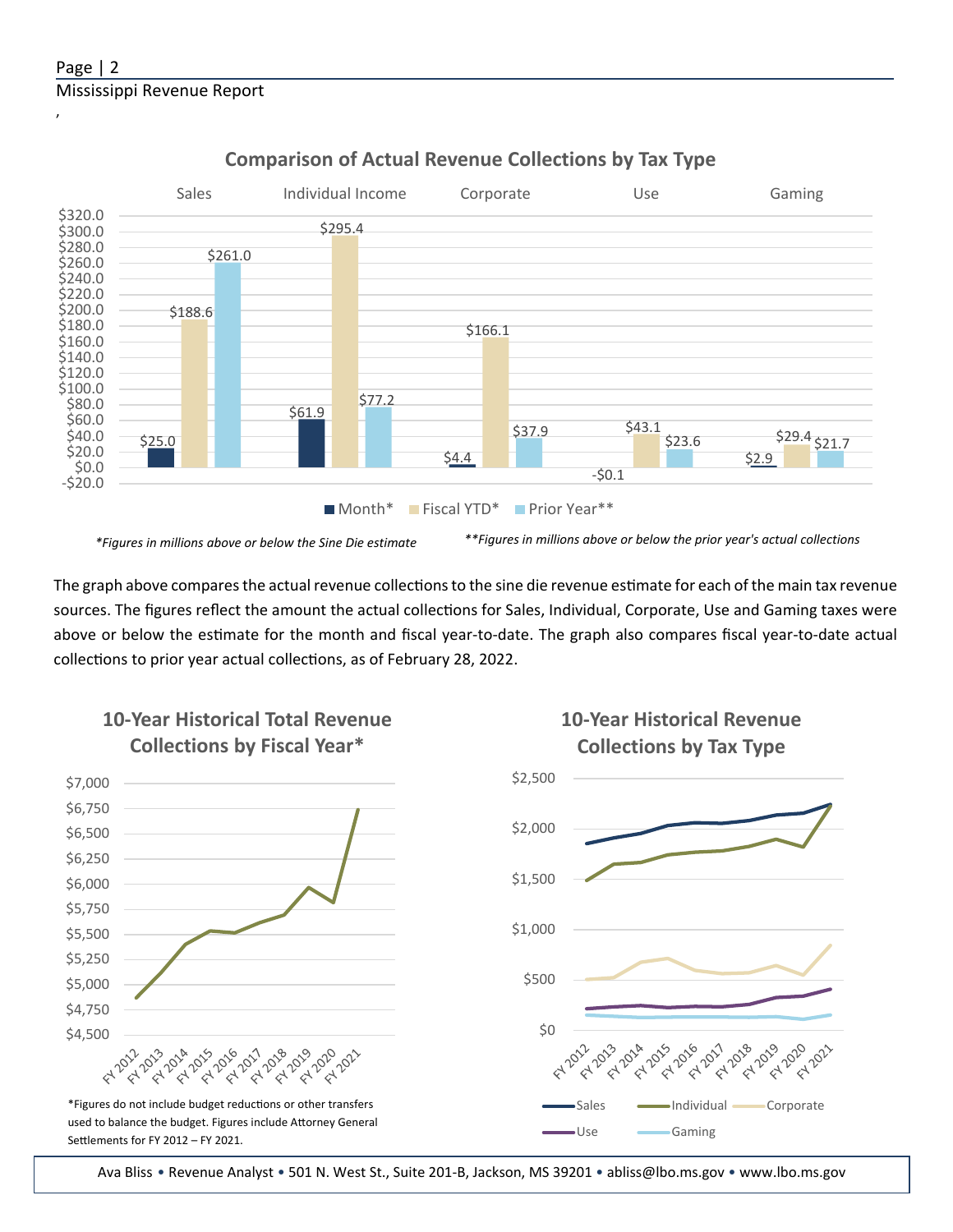## Page | 2 Mississippi Revenue Report

,



## **Comparison of Actual Revenue Collections by Tax Type**

\*Figures in millions above or below the Sine Die estimate \*\*\*Figures in millions above or below the prior year's actual collections

The graph above compares the actual revenue collections to the sine die revenue estimate for each of the main tax revenue sources. The figures reflect the amount the actual collections for Sales, Individual, Corporate, Use and Gaming taxes were above or below the estimate for the month and fiscal year-to-date. The graph also compares fiscal year-to-date actual collections to prior year actual collections, as of February 28, 2022.



Settlements for FY 2012 - FY 2021.

Ava Bliss • Revenue Analyst • 501 N. West St., Suite 201-B, Jackson, MS 39201 • abliss@lbo.ms.gov • www.lbo.ms.gov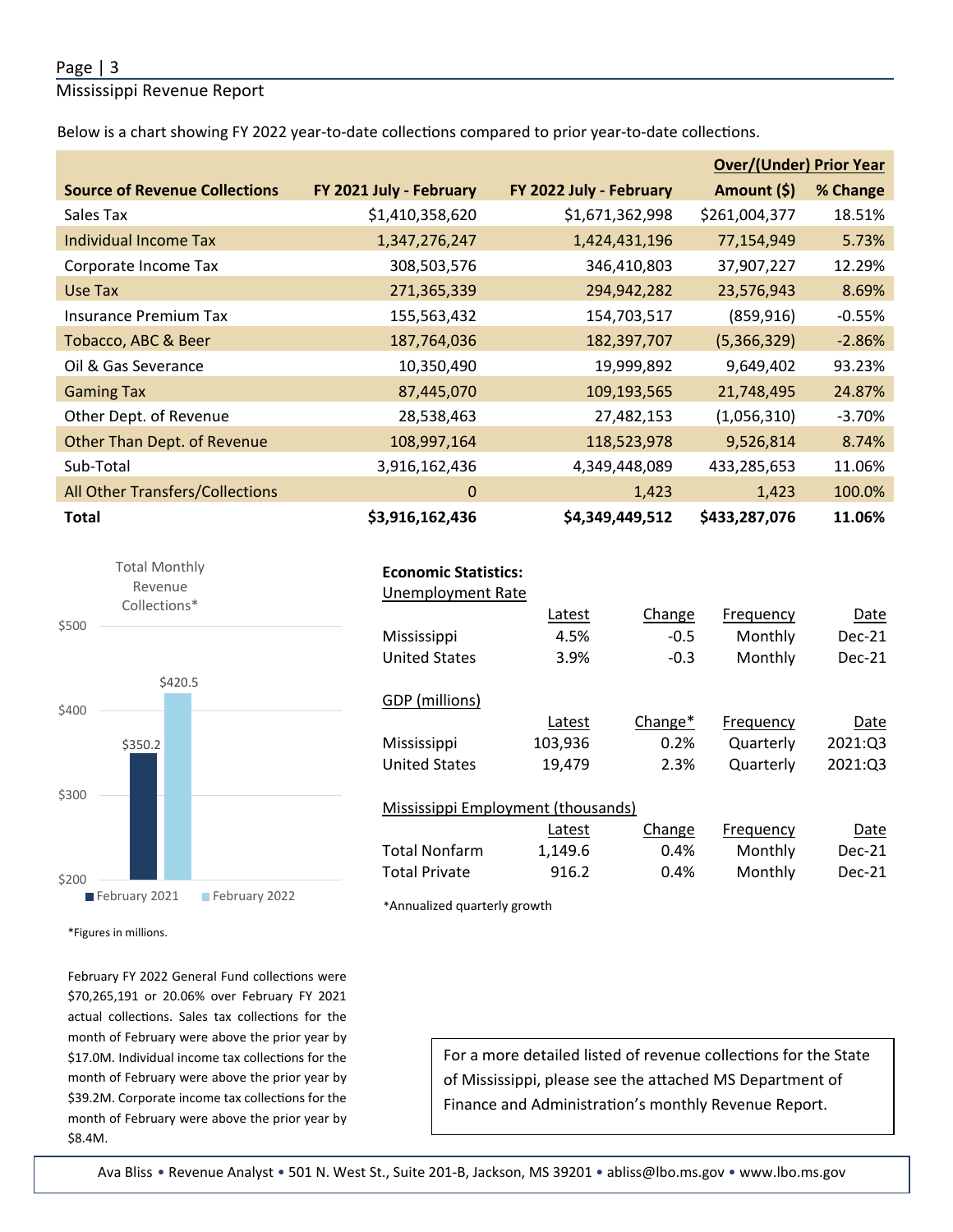### Page | 3

Mississippi Revenue Report

Below is a chart showing FY 2022 year-to-date collections compared to prior year-to-date collections.

|                                      |                         |                         | <b>Over/(Under) Prior Year</b> |          |  |
|--------------------------------------|-------------------------|-------------------------|--------------------------------|----------|--|
| <b>Source of Revenue Collections</b> | FY 2021 July - February | FY 2022 July - February | Amount (\$)                    | % Change |  |
| Sales Tax                            | \$1,410,358,620         | \$1,671,362,998         | \$261,004,377                  | 18.51%   |  |
| Individual Income Tax                | 1,347,276,247           | 1,424,431,196           | 77,154,949                     | 5.73%    |  |
| Corporate Income Tax                 | 308,503,576             | 346,410,803             | 37,907,227                     | 12.29%   |  |
| Use Tax                              | 271,365,339             | 294,942,282             | 23,576,943                     | 8.69%    |  |
| Insurance Premium Tax                | 155,563,432             | 154,703,517             | (859, 916)                     | $-0.55%$ |  |
| Tobacco, ABC & Beer                  | 187,764,036             | 182,397,707             | (5,366,329)                    | $-2.86%$ |  |
| Oil & Gas Severance                  | 10,350,490              | 19,999,892              | 9,649,402                      | 93.23%   |  |
| <b>Gaming Tax</b>                    | 87,445,070              | 109,193,565             | 21,748,495                     | 24.87%   |  |
| Other Dept. of Revenue               | 28,538,463              | 27,482,153              | (1,056,310)                    | $-3.70%$ |  |
| Other Than Dept. of Revenue          | 108,997,164             | 118,523,978             | 9,526,814                      | 8.74%    |  |
| Sub-Total                            | 3,916,162,436           | 4,349,448,089           | 433,285,653                    | 11.06%   |  |
| All Other Transfers/Collections      | $\mathbf{0}$            | 1,423                   | 1,423                          | 100.0%   |  |
| <b>Total</b>                         | \$3,916,162,436         | \$4,349,449,512         | \$433,287,076                  | 11.06%   |  |



**Economic Statistics:**

| <b>Unemployment Rate</b>           |         |         |           |          |
|------------------------------------|---------|---------|-----------|----------|
|                                    | Latest  | Change  | Frequency | Date     |
| Mississippi                        | 4.5%    | $-0.5$  | Monthly   | $Dec-21$ |
| <b>United States</b>               | 3.9%    | $-0.3$  | Monthly   | Dec-21   |
|                                    |         |         |           |          |
| GDP (millions)                     |         |         |           |          |
|                                    | Latest  | Change* | Frequency | Date     |
| Mississippi                        | 103,936 | 0.2%    | Quarterly | 2021:Q3  |
| <b>United States</b>               | 19,479  | 2.3%    | Quarterly | 2021:03  |
|                                    |         |         |           |          |
| Mississippi Employment (thousands) |         |         |           |          |
|                                    | Latest  | Change  | Frequency | Date     |
| <b>Total Nonfarm</b>               | 1,149.6 | 0.4%    | Monthly   | Dec-21   |
| <b>Total Private</b>               | 916.2   | 0.4%    | Monthly   | Dec-21   |

\*Annualized quarterly growth

\*Figures in millions.

February FY 2022 General Fund collections were \$70,265,191 or 20.06% over February FY 2021 actual collections. Sales tax collections for the month of February were above the prior year by \$17.0M. Individual income tax collections for the month of February were above the prior year by \$39.2M. Corporate income tax collections for the month of February were above the prior year by \$8.4M.

For a more detailed listed of revenue collections for the State of Mississippi, please see the attached MS Department of Finance and Administration's monthly Revenue Report.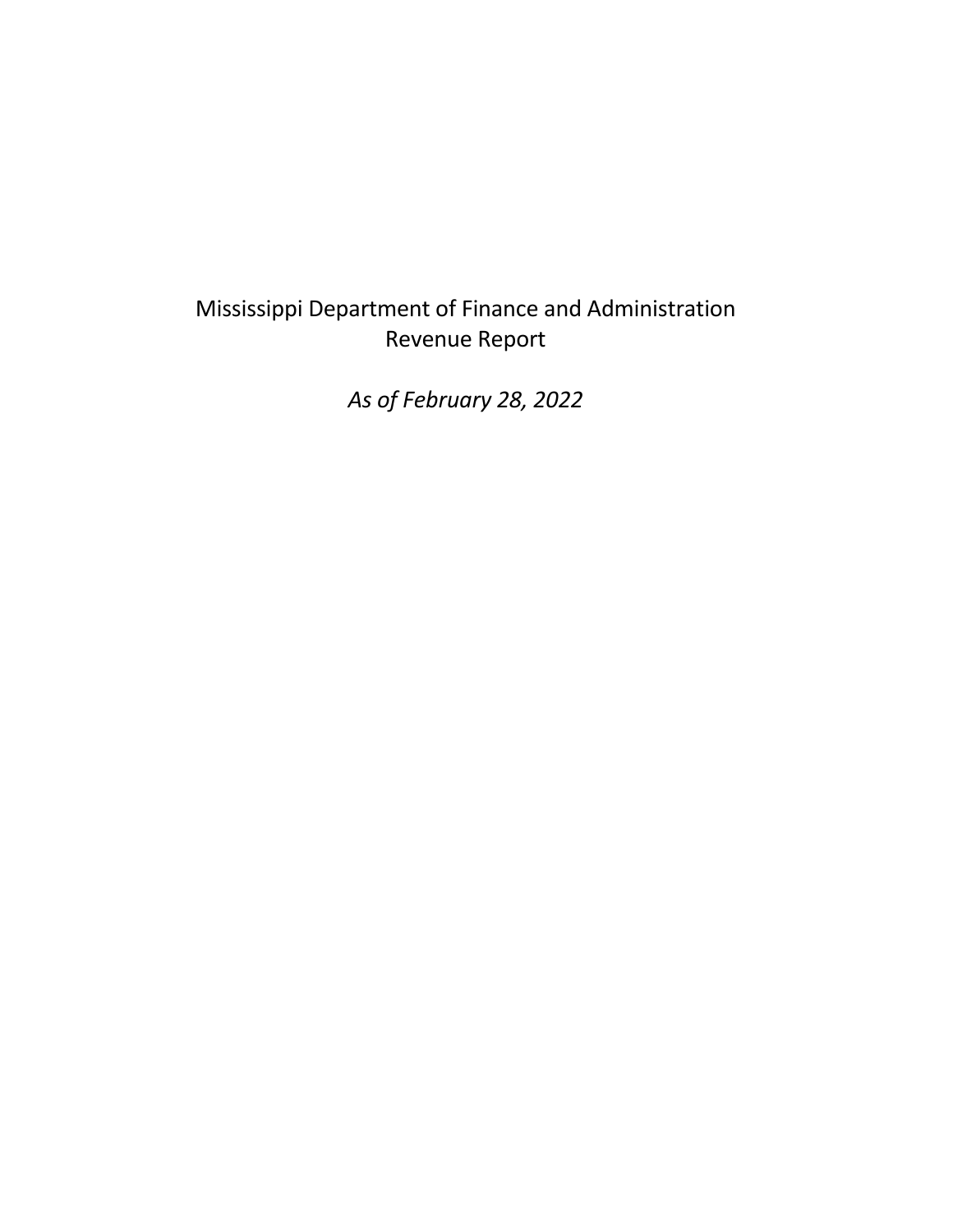## Mississippi Department of Finance and Administration Revenue Report

*As of February 28, 2022*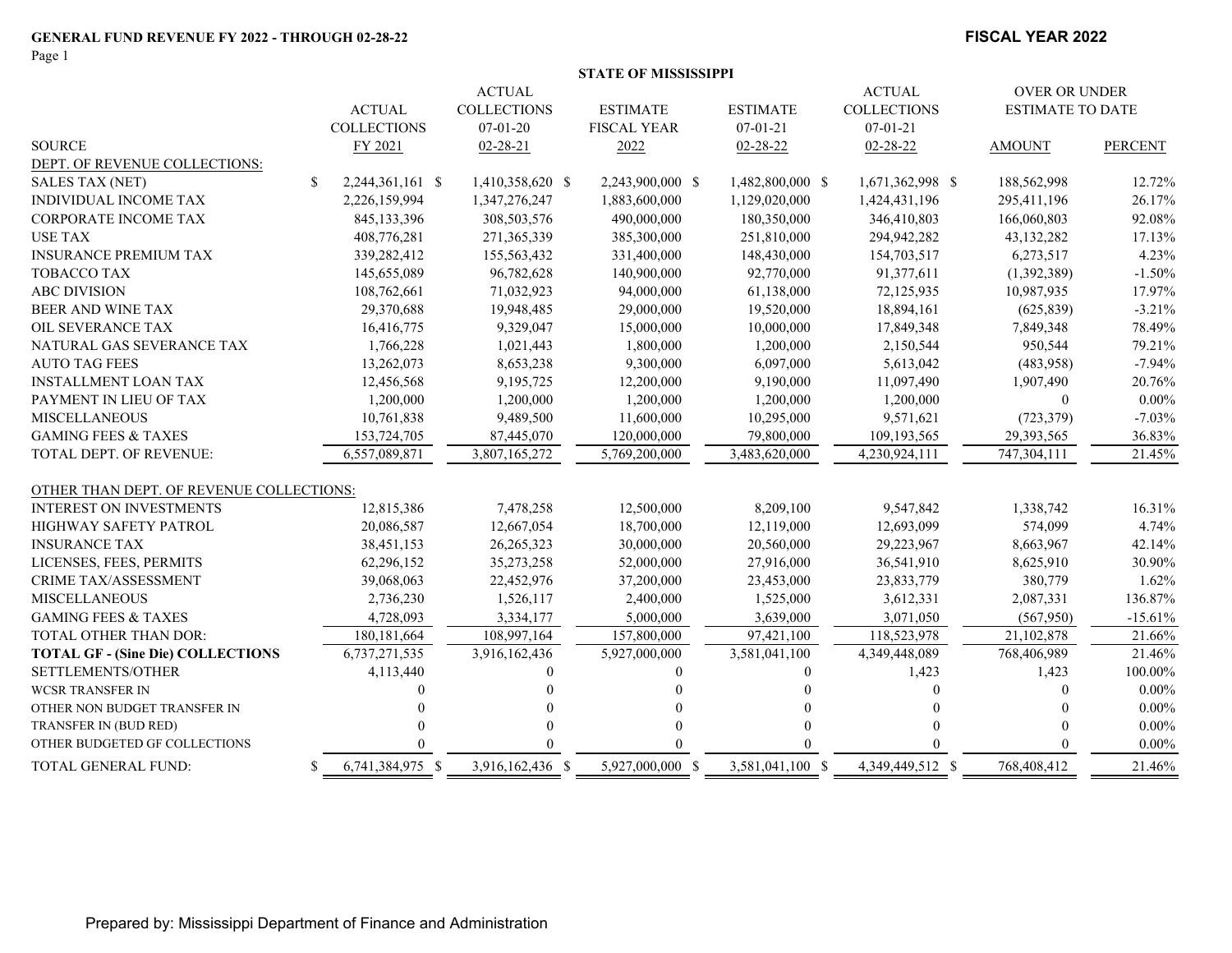Page 1

|  | STATE OF MISSISSIPPI |
|--|----------------------|
|  |                      |

|                                          |               |                    | <b>ACTUAL</b>      |                    |                  | <b>ACTUAL</b>      | <b>OVER OR UNDER</b>    |                |
|------------------------------------------|---------------|--------------------|--------------------|--------------------|------------------|--------------------|-------------------------|----------------|
|                                          |               | <b>ACTUAL</b>      | <b>COLLECTIONS</b> | <b>ESTIMATE</b>    | <b>ESTIMATE</b>  | <b>COLLECTIONS</b> | <b>ESTIMATE TO DATE</b> |                |
|                                          |               | <b>COLLECTIONS</b> | $07-01-20$         | <b>FISCAL YEAR</b> | $07 - 01 - 21$   | $07 - 01 - 21$     |                         |                |
| <b>SOURCE</b>                            |               | FY 2021            | $02 - 28 - 21$     | 2022               | $02 - 28 - 22$   | $02 - 28 - 22$     | <b>AMOUNT</b>           | <b>PERCENT</b> |
| DEPT. OF REVENUE COLLECTIONS:            |               |                    |                    |                    |                  |                    |                         |                |
| <b>SALES TAX (NET)</b>                   | <sup>\$</sup> | 2,244,361,161 \$   | 1,410,358,620 \$   | 2,243,900,000 \$   | 1,482,800,000 \$ | 1,671,362,998 \$   | 188,562,998             | 12.72%         |
| INDIVIDUAL INCOME TAX                    |               | 2,226,159,994      | 1,347,276,247      | 1,883,600,000      | 1,129,020,000    | 1,424,431,196      | 295,411,196             | 26.17%         |
| <b>CORPORATE INCOME TAX</b>              |               | 845, 133, 396      | 308,503,576        | 490,000,000        | 180,350,000      | 346,410,803        | 166,060,803             | 92.08%         |
| <b>USE TAX</b>                           |               | 408,776,281        | 271,365,339        | 385,300,000        | 251,810,000      | 294,942,282        | 43,132,282              | 17.13%         |
| <b>INSURANCE PREMIUM TAX</b>             |               | 339,282,412        | 155,563,432        | 331,400,000        | 148,430,000      | 154,703,517        | 6,273,517               | 4.23%          |
| TOBACCO TAX                              |               | 145,655,089        | 96,782,628         | 140,900,000        | 92,770,000       | 91,377,611         | (1,392,389)             | $-1.50%$       |
| <b>ABC DIVISION</b>                      |               | 108,762,661        | 71,032,923         | 94,000,000         | 61,138,000       | 72,125,935         | 10,987,935              | 17.97%         |
| BEER AND WINE TAX                        |               | 29,370,688         | 19,948,485         | 29,000,000         | 19,520,000       | 18,894,161         | (625, 839)              | $-3.21%$       |
| OIL SEVERANCE TAX                        |               | 16,416,775         | 9,329,047          | 15,000,000         | 10,000,000       | 17,849,348         | 7,849,348               | 78.49%         |
| NATURAL GAS SEVERANCE TAX                |               | 1,766,228          | 1,021,443          | 1,800,000          | 1,200,000        | 2,150,544          | 950,544                 | 79.21%         |
| <b>AUTO TAG FEES</b>                     |               | 13,262,073         | 8,653,238          | 9,300,000          | 6,097,000        | 5,613,042          | (483,958)               | $-7.94%$       |
| <b>INSTALLMENT LOAN TAX</b>              |               | 12,456,568         | 9,195,725          | 12,200,000         | 9,190,000        | 11,097,490         | 1,907,490               | 20.76%         |
| PAYMENT IN LIEU OF TAX                   |               | 1,200,000          | 1,200,000          | 1,200,000          | 1,200,000        | 1,200,000          | $\mathbf{0}$            | $0.00\%$       |
| <b>MISCELLANEOUS</b>                     |               | 10,761,838         | 9,489,500          | 11,600,000         | 10,295,000       | 9,571,621          | (723, 379)              | $-7.03%$       |
| <b>GAMING FEES &amp; TAXES</b>           |               | 153,724,705        | 87,445,070         | 120,000,000        | 79,800,000       | 109, 193, 565      | 29,393,565              | 36.83%         |
| <b>TOTAL DEPT. OF REVENUE:</b>           |               | 6,557,089,871      | 3,807,165,272      | 5,769,200,000      | 3,483,620,000    | 4,230,924,111      | 747,304,111             | 21.45%         |
|                                          |               |                    |                    |                    |                  |                    |                         |                |
| OTHER THAN DEPT. OF REVENUE COLLECTIONS: |               |                    |                    |                    |                  |                    |                         |                |
| <b>INTEREST ON INVESTMENTS</b>           |               | 12,815,386         | 7,478,258          | 12,500,000         | 8,209,100        | 9,547,842          | 1,338,742               | 16.31%         |
| HIGHWAY SAFETY PATROL                    |               | 20,086,587         | 12,667,054         | 18,700,000         | 12,119,000       | 12,693,099         | 574,099                 | 4.74%          |
| <b>INSURANCE TAX</b>                     |               | 38,451,153         | 26, 265, 323       | 30,000,000         | 20,560,000       | 29,223,967         | 8,663,967               | 42.14%         |
| LICENSES, FEES, PERMITS                  |               | 62,296,152         | 35,273,258         | 52,000,000         | 27,916,000       | 36,541,910         | 8,625,910               | 30.90%         |
| <b>CRIME TAX/ASSESSMENT</b>              |               | 39,068,063         | 22,452,976         | 37,200,000         | 23,453,000       | 23,833,779         | 380,779                 | 1.62%          |
| <b>MISCELLANEOUS</b>                     |               | 2,736,230          | 1,526,117          | 2,400,000          | 1,525,000        | 3,612,331          | 2,087,331               | 136.87%        |
| <b>GAMING FEES &amp; TAXES</b>           |               | 4,728,093          | 3,334,177          | 5,000,000          | 3,639,000        | 3,071,050          | (567,950)               | $-15.61%$      |
| TOTAL OTHER THAN DOR:                    |               | 180, 181, 664      | 108,997,164        | 157,800,000        | 97,421,100       | 118,523,978        | 21,102,878              | 21.66%         |
| <b>TOTAL GF - (Sine Die) COLLECTIONS</b> |               | 6,737,271,535      | 3,916,162,436      | 5,927,000,000      | 3,581,041,100    | 4,349,448,089      | 768,406,989             | 21.46%         |
| SETTLEMENTS/OTHER                        |               | 4,113,440          |                    |                    | $\theta$         | 1,423              | 1,423                   | 100.00%        |
| <b>WCSR TRANSFER IN</b>                  |               |                    |                    |                    |                  | 0                  |                         | $0.00\%$       |
| OTHER NON BUDGET TRANSFER IN             |               |                    |                    |                    |                  |                    |                         | $0.00\%$       |
| TRANSFER IN (BUD RED)                    |               |                    |                    |                    |                  |                    |                         | $0.00\%$       |
| OTHER BUDGETED GF COLLECTIONS            |               |                    |                    |                    |                  |                    |                         | $0.00\%$       |
| TOTAL GENERAL FUND:                      | \$            | 6,741,384,975 \$   | 3,916,162,436 \$   | 5,927,000,000 \$   | 3,581,041,100 \$ | 4,349,449,512 \$   | 768,408,412             | 21.46%         |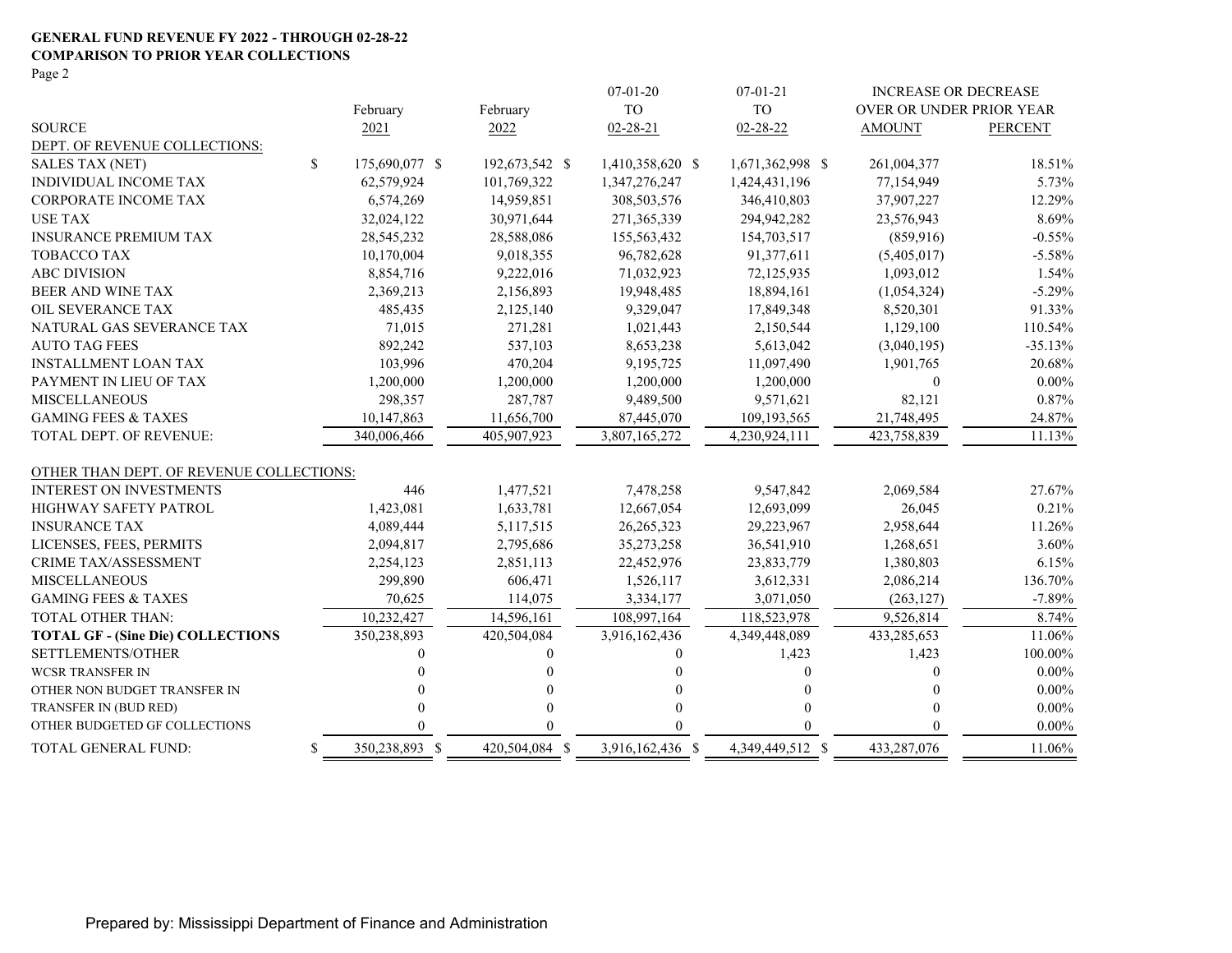#### **GENERAL FUND REVENUE FY 2022 - THROUGH 02-28-22 COMPARISON TO PRIOR YEAR COLLECTIONS**

Page 2

|                                          |                      |                | $07 - 01 - 20$   | $07 - 01 - 21$   | <b>INCREASE OR DECREASE</b> |                |
|------------------------------------------|----------------------|----------------|------------------|------------------|-----------------------------|----------------|
|                                          | February             | February       | <b>TO</b>        | <b>TO</b>        | OVER OR UNDER PRIOR YEAR    |                |
| <b>SOURCE</b>                            | 2021                 | 2022           | $02 - 28 - 21$   | 02-28-22         | <b>AMOUNT</b>               | <b>PERCENT</b> |
| DEPT. OF REVENUE COLLECTIONS:            |                      |                |                  |                  |                             |                |
| SALES TAX (NET)                          | \$<br>175,690,077 \$ | 192,673,542 \$ | 1,410,358,620 \$ | 1,671,362,998 \$ | 261,004,377                 | 18.51%         |
| INDIVIDUAL INCOME TAX                    | 62,579,924           | 101,769,322    | 1,347,276,247    | 1,424,431,196    | 77,154,949                  | 5.73%          |
| CORPORATE INCOME TAX                     | 6,574,269            | 14,959,851     | 308,503,576      | 346,410,803      | 37,907,227                  | 12.29%         |
| <b>USE TAX</b>                           | 32,024,122           | 30,971,644     | 271,365,339      | 294,942,282      | 23,576,943                  | 8.69%          |
| <b>INSURANCE PREMIUM TAX</b>             | 28,545,232           | 28,588,086     | 155,563,432      | 154,703,517      | (859, 916)                  | $-0.55%$       |
| <b>TOBACCO TAX</b>                       | 10,170,004           | 9,018,355      | 96,782,628       | 91,377,611       | (5,405,017)                 | $-5.58%$       |
| <b>ABC DIVISION</b>                      | 8,854,716            | 9,222,016      | 71,032,923       | 72,125,935       | 1,093,012                   | 1.54%          |
| BEER AND WINE TAX                        | 2,369,213            | 2,156,893      | 19,948,485       | 18,894,161       | (1,054,324)                 | $-5.29%$       |
| OIL SEVERANCE TAX                        | 485,435              | 2,125,140      | 9,329,047        | 17,849,348       | 8,520,301                   | 91.33%         |
| NATURAL GAS SEVERANCE TAX                | 71,015               | 271,281        | 1,021,443        | 2,150,544        | 1,129,100                   | 110.54%        |
| <b>AUTO TAG FEES</b>                     | 892,242              | 537,103        | 8,653,238        | 5,613,042        | (3,040,195)                 | $-35.13%$      |
| <b>INSTALLMENT LOAN TAX</b>              | 103,996              | 470,204        | 9,195,725        | 11,097,490       | 1,901,765                   | 20.68%         |
| PAYMENT IN LIEU OF TAX                   | 1,200,000            | 1,200,000      | 1,200,000        | 1,200,000        | $\theta$                    | $0.00\%$       |
| <b>MISCELLANEOUS</b>                     | 298,357              | 287,787        | 9,489,500        | 9,571,621        | 82,121                      | 0.87%          |
| <b>GAMING FEES &amp; TAXES</b>           | 10,147,863           | 11,656,700     | 87,445,070       | 109,193,565      | 21,748,495                  | 24.87%         |
| <b>TOTAL DEPT. OF REVENUE:</b>           | 340,006,466          | 405,907,923    | 3,807,165,272    | 4,230,924,111    | 423,758,839                 | 11.13%         |
| OTHER THAN DEPT. OF REVENUE COLLECTIONS: |                      |                |                  |                  |                             |                |
| <b>INTEREST ON INVESTMENTS</b>           | 446                  | 1,477,521      | 7,478,258        | 9,547,842        | 2,069,584                   | 27.67%         |
| <b>HIGHWAY SAFETY PATROL</b>             | 1,423,081            | 1,633,781      | 12,667,054       | 12,693,099       | 26,045                      | 0.21%          |
| <b>INSURANCE TAX</b>                     | 4,089,444            | 5,117,515      | 26, 265, 323     | 29,223,967       | 2,958,644                   | 11.26%         |
| LICENSES, FEES, PERMITS                  | 2,094,817            | 2,795,686      | 35,273,258       | 36,541,910       | 1,268,651                   | 3.60%          |
| <b>CRIME TAX/ASSESSMENT</b>              | 2,254,123            | 2,851,113      | 22,452,976       | 23,833,779       | 1,380,803                   | 6.15%          |
| <b>MISCELLANEOUS</b>                     | 299,890              | 606,471        | 1,526,117        | 3,612,331        | 2,086,214                   | 136.70%        |
| <b>GAMING FEES &amp; TAXES</b>           | 70,625               | 114,075        | 3,334,177        | 3,071,050        | (263, 127)                  | $-7.89%$       |
| TOTAL OTHER THAN:                        | 10,232,427           | 14,596,161     | 108,997,164      | 118,523,978      | 9,526,814                   | 8.74%          |
| <b>TOTAL GF - (Sine Die) COLLECTIONS</b> | 350,238,893          | 420,504,084    | 3,916,162,436    | 4,349,448,089    | 433,285,653                 | 11.06%         |
| SETTLEMENTS/OTHER                        | 0                    | $\left($       |                  | 1,423            | 1,423                       | 100.00%        |
| <b>WCSR TRANSFER IN</b>                  |                      | $\Omega$       |                  | $\Omega$         | 0                           | $0.00\%$       |
| OTHER NON BUDGET TRANSFER IN             |                      | $\Omega$       |                  | 0                | $\Omega$                    | $0.00\%$       |
| TRANSFER IN (BUD RED)                    |                      | $\Omega$       |                  | 0                | 0                           | $0.00\%$       |
| OTHER BUDGETED GF COLLECTIONS            |                      | $\Omega$       |                  |                  | 0                           | $0.00\%$       |
| TOTAL GENERAL FUND:                      | \$<br>350,238,893 \$ | 420,504,084 \$ | 3,916,162,436 \$ | 4,349,449,512 \$ | 433,287,076                 | 11.06%         |